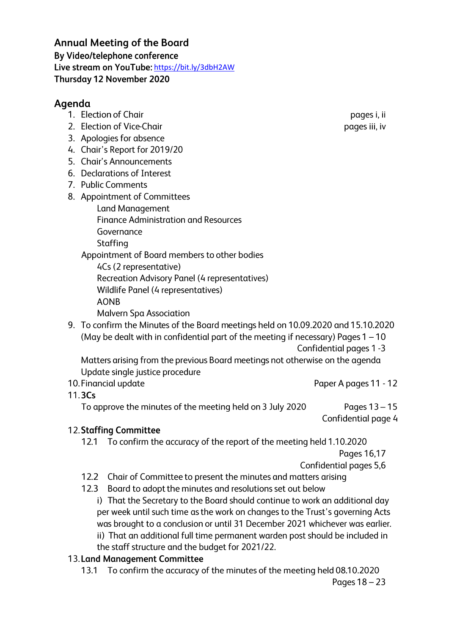https://bit.ly/3dbH2AW **Annual Meeting of the Board By Video/telephone conference**  By Video/telephone conference<br>Live stream on YouTube: <u>https://bit.ly/3dbH2AW</u><br>Thursday 12 November 2020

## **Agenda**

- 1. Election of Chair
- 2. Election of Vice-Chair
- 3. Apologies for absence
- 4. Chair's Report for 2019/20
- 5. Chair's Announcements
- 6. Declarations of Interest
- 7. Public Comments
- 8. Appointment of Committees
	- Land Management Finance Administration and Resources Governance Staffing

Appointment of Board members to other bodies

4Cs (2 representative)

Recreation Advisory Panel (4 representatives)

Wildlife Panel (4 representatives)

AONB

Malvern Spa Association

- 9. To confirm the Minutes of the Board meetings held on 10.09.2020 and 15.10.2020 (May be dealt with in confidential part of the meeting if necessary) Pages  $1 - 10$ 
	- Confidential pages 1 -3

Matters arising from the previous Board meetings not otherwise on the agenda Update single justice procedure

- 10. Financial update **Paper A pages 11 12**
- 11. 3Cs

To approve the minutes of the meeting held on 3 July 2020 Pages 13 -15

Confidential page 4

## 12. **Staffing Committee**

12.1 To confirm the accuracy of the report of the meeting held 1.10.2020

Pages 16,17

Confidential pages 5,6

- 12.2 Chair of Committee to present the minutes and matters arising
- 12.3 Board to adopt the minutes and resolutions set out below i) That the Secretary to the Board should continue to work an additional day per week until such time as the work on changes to the Trust's governing Acts was brought to a conclusion or until 31 December 2021 whichever was earlier. ii) That an additional full time permanent warden post should be included in

the staff structure and the budget for 2021 /22.

## 13. **Land Management Committee**

13.1 To confirm the accuracy of the minutes of the meeting held 08.10.2020

pages i, ii pages iii, iv